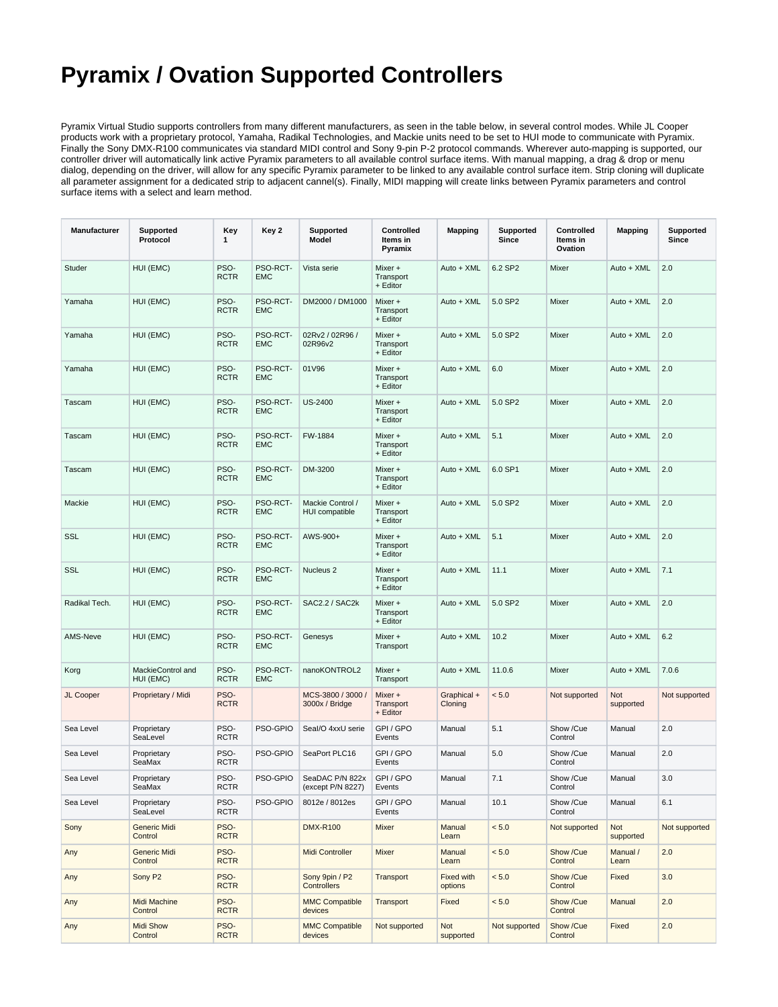## **Pyramix / Ovation Supported Controllers**

Pyramix Virtual Studio supports controllers from many different manufacturers, as seen in the table below, in several control modes. While JL Cooper products work with a proprietary protocol, Yamaha, Radikal Technologies, and Mackie units need to be set to HUI mode to communicate with Pyramix. Finally the Sony DMX-R100 communicates via standard MIDI control and Sony 9-pin P-2 protocol commands. Wherever auto-mapping is supported, our controller driver will automatically link active Pyramix parameters to all available control surface items. With manual mapping, a drag & drop or menu dialog, depending on the driver, will allow for any specific Pyramix parameter to be linked to any available control surface item. Strip cloning will duplicate all parameter assignment for a dedicated strip to adjacent cannel(s). Finally, MIDI mapping will create links between Pyramix parameters and control surface items with a select and learn method.

| Manufacturer  | Supported<br>Protocol          | Key<br>1            | Key 2                  | Supported<br>Model                   | Controlled<br>Items in<br>Pyramix | <b>Mapping</b>         | Supported<br>Since | Controlled<br>Items in<br>Ovation | <b>Mapping</b>    | Supported<br>Since |
|---------------|--------------------------------|---------------------|------------------------|--------------------------------------|-----------------------------------|------------------------|--------------------|-----------------------------------|-------------------|--------------------|
| Studer        | HUI (EMC)                      | PSO-<br><b>RCTR</b> | PSO-RCT-<br><b>EMC</b> | Vista serie                          | Mixer +<br>Transport<br>+ Editor  | Auto + XML             | 6.2 SP2            | Mixer                             | Auto + XML        | 2.0                |
| Yamaha        | HUI (EMC)                      | PSO-<br><b>RCTR</b> | PSO-RCT-<br><b>EMC</b> | DM2000 / DM1000                      | Mixer +<br>Transport<br>+ Editor  | Auto + XML             | 5.0 SP2            | Mixer                             | Auto + XML        | 2.0                |
| Yamaha        | HUI (EMC)                      | PSO-<br><b>RCTR</b> | PSO-RCT-<br><b>EMC</b> | 02Rv2 / 02R96 /<br>02R96v2           | Mixer +<br>Transport<br>+ Editor  | Auto + XML             | 5.0 SP2            | Mixer                             | Auto + XML        | 2.0                |
| Yamaha        | HUI (EMC)                      | PSO-<br><b>RCTR</b> | PSO-RCT-<br><b>EMC</b> | 01V96                                | Mixer +<br>Transport<br>+ Editor  | Auto + XML             | 6.0                | Mixer                             | Auto + XML        | 2.0                |
| Tascam        | HUI (EMC)                      | PSO-<br><b>RCTR</b> | PSO-RCT-<br><b>EMC</b> | <b>US-2400</b>                       | Mixer +<br>Transport<br>+ Editor  | Auto + XML             | 5.0 SP2            | Mixer                             | Auto + XML        | 2.0                |
| Tascam        | HUI (EMC)                      | PSO-<br><b>RCTR</b> | PSO-RCT-<br><b>EMC</b> | FW-1884                              | Mixer +<br>Transport<br>+ Editor  | Auto + XML             | 5.1                | Mixer                             | Auto + XML        | 2.0                |
| Tascam        | HUI (EMC)                      | PSO-<br><b>RCTR</b> | PSO-RCT-<br><b>EMC</b> | DM-3200                              | Mixer +<br>Transport<br>+ Editor  | Auto + XML             | 6.0 SP1            | Mixer                             | Auto + XML        | 2.0                |
| Mackie        | HUI (EMC)                      | PSO-<br><b>RCTR</b> | PSO-RCT-<br><b>EMC</b> | Mackie Control /<br>HUI compatible   | Mixer +<br>Transport<br>+ Editor  | Auto + XML             | 5.0 SP2            | Mixer                             | Auto + XML        | 2.0                |
| SSL           | HUI (EMC)                      | PSO-<br><b>RCTR</b> | PSO-RCT-<br><b>EMC</b> | AWS-900+                             | Mixer +<br>Transport<br>+ Editor  | Auto + XML             | 5.1                | Mixer                             | Auto + XML        | 2.0                |
| <b>SSL</b>    | HUI (EMC)                      | PSO-<br><b>RCTR</b> | PSO-RCT-<br><b>EMC</b> | Nucleus <sub>2</sub>                 | Mixer +<br>Transport<br>+ Editor  | Auto + XML             | 11.1               | Mixer                             | Auto + XML        | 7.1                |
| Radikal Tech. | HUI (EMC)                      | PSO-<br><b>RCTR</b> | PSO-RCT-<br><b>EMC</b> | SAC2.2 / SAC2k                       | Mixer +<br>Transport<br>+ Editor  | Auto + XML             | 5.0 SP2            | Mixer                             | Auto + XML        | 2.0                |
| AMS-Neve      | HUI (EMC)                      | PSO-<br><b>RCTR</b> | PSO-RCT-<br><b>EMC</b> | Genesys                              | Mixer +<br>Transport              | Auto + XML             | 10.2               | Mixer                             | Auto + XML        | 6.2                |
| Korg          | MackieControl and<br>HUI (EMC) | PSO-<br><b>RCTR</b> | PSO-RCT-<br><b>EMC</b> | nanoKONTROL2                         | Mixer +<br>Transport              | Auto + XML             | 11.0.6             | Mixer                             | Auto + XML        | 7.0.6              |
| JL Cooper     | Proprietary / Midi             | PSO-<br><b>RCTR</b> |                        | MCS-3800 / 3000 /<br>3000x / Bridge  | Mixer +<br>Transport<br>+ Editor  | Graphical +<br>Cloning | < 5.0              | Not supported                     | Not<br>supported  | Not supported      |
| Sea Level     | Proprietary<br>SeaLevel        | PSO-<br><b>RCTR</b> | PSO-GPIO               | Seal/O 4xxU serie                    | GPI/GPO<br>Events                 | Manual                 | 5.1                | Show /Cue<br>Control              | Manual            | 2.0                |
| Sea Level     | Proprietary<br>SeaMax          | PSO-<br><b>RCTR</b> | PSO-GPIO               | SeaPort PLC16                        | GPI/GPO<br>Events                 | Manual                 | 5.0                | Show /Cue<br>Control              | Manual            | 2.0                |
| Sea Level     | Proprietary<br>SeaMax          | PSO-<br><b>RCTR</b> | PSO-GPIO               | SeaDAC P/N 822x<br>(except P/N 8227) | GPI/GPO<br>Events                 | Manual                 | 7.1                | Show /Cue<br>Control              | Manual            | 3.0                |
| Sea Level     | Proprietary<br>SeaLevel        | PSO-<br><b>RCTR</b> | PSO-GPIO               | 8012e / 8012es                       | GPI/GPO<br>Events                 | Manual                 | 10.1               | Show /Cue<br>Control              | Manual            | 6.1                |
| Sony          | Generic Midi<br>Control        | PSO-<br><b>RCTR</b> |                        | <b>DMX-R100</b>                      | Mixer                             | Manual<br>Learn        | < 5.0              | Not supported                     | Not<br>supported  | Not supported      |
| Any           | <b>Generic Midi</b><br>Control | PSO-<br><b>RCTR</b> |                        | Midi Controller                      | Mixer                             | Manual<br>Learn        | < 5.0              | Show /Cue<br>Control              | Manual /<br>Learn | 2.0                |
| Any           | Sony P2                        | PSO-<br><b>RCTR</b> |                        | Sony 9pin / P2<br>Controllers        | Transport                         | Fixed with<br>options  | < 5.0              | Show /Cue<br>Control              | Fixed             | 3.0                |
| Any           | Midi Machine<br>Control        | PSO-<br><b>RCTR</b> |                        | <b>MMC Compatible</b><br>devices     | Transport                         | Fixed                  | $< 5.0$            | Show /Cue<br>Control              | Manual            | 2.0                |
| Any           | <b>Midi Show</b><br>Control    | PSO-<br><b>RCTR</b> |                        | <b>MMC Compatible</b><br>devices     | Not supported                     | Not<br>supported       | Not supported      | Show /Cue<br>Control              | Fixed             | 2.0                |